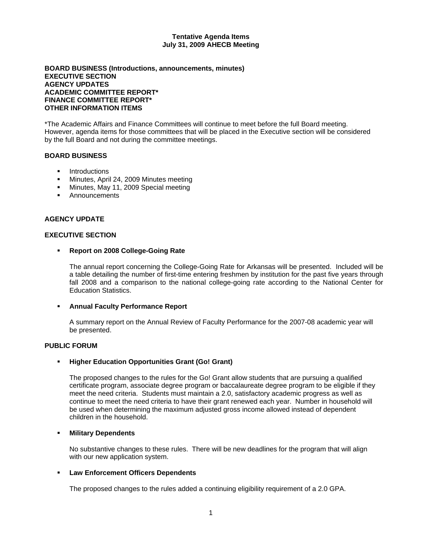#### **Tentative Agenda Items July 31, 2009 AHECB Meeting**

### **BOARD BUSINESS (Introductions, announcements, minutes) EXECUTIVE SECTION AGENCY UPDATES ACADEMIC COMMITTEE REPORT\* FINANCE COMMITTEE REPORT\* OTHER INFORMATION ITEMS**

\*The Academic Affairs and Finance Committees will continue to meet before the full Board meeting. However, agenda items for those committees that will be placed in the Executive section will be considered by the full Board and not during the committee meetings.

## **BOARD BUSINESS**

- **Introductions**
- **Minutes, April 24, 2009 Minutes meeting**
- Minutes, May 11, 2009 Special meeting
- **Announcements**

### **AGENCY UPDATE**

### **EXECUTIVE SECTION**

#### **Report on 2008 College-Going Rate**

The annual report concerning the College-Going Rate for Arkansas will be presented. Included will be a table detailing the number of first-time entering freshmen by institution for the past five years through fall 2008 and a comparison to the national college-going rate according to the National Center for Education Statistics.

#### **Annual Faculty Performance Report**

A summary report on the Annual Review of Faculty Performance for the 2007-08 academic year will be presented.

#### **PUBLIC FORUM**

#### **Higher Education Opportunities Grant (Go! Grant)**

The proposed changes to the rules for the Go! Grant allow students that are pursuing a qualified certificate program, associate degree program or baccalaureate degree program to be eligible if they meet the need criteria. Students must maintain a 2.0, satisfactory academic progress as well as continue to meet the need criteria to have their grant renewed each year. Number in household will be used when determining the maximum adjusted gross income allowed instead of dependent children in the household.

#### **Military Dependents**

No substantive changes to these rules. There will be new deadlines for the program that will align with our new application system.

#### **Law Enforcement Officers Dependents**

The proposed changes to the rules added a continuing eligibility requirement of a 2.0 GPA.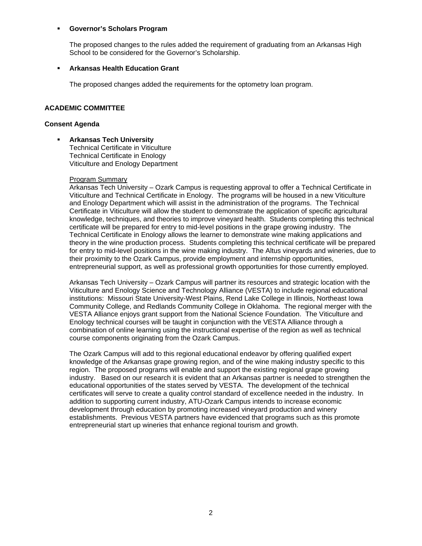### **Governor's Scholars Program**

The proposed changes to the rules added the requirement of graduating from an Arkansas High School to be considered for the Governor's Scholarship.

### **Arkansas Health Education Grant**

The proposed changes added the requirements for the optometry loan program.

## **ACADEMIC COMMITTEE**

### **Consent Agenda**

 **Arkansas Tech University**  Technical Certificate in Viticulture Technical Certificate in Enology Viticulture and Enology Department

### Program Summary

Arkansas Tech University – Ozark Campus is requesting approval to offer a Technical Certificate in Viticulture and Technical Certificate in Enology. The programs will be housed in a new Viticulture and Enology Department which will assist in the administration of the programs. The Technical Certificate in Viticulture will allow the student to demonstrate the application of specific agricultural knowledge, techniques, and theories to improve vineyard health. Students completing this technical certificate will be prepared for entry to mid-level positions in the grape growing industry. The Technical Certificate in Enology allows the learner to demonstrate wine making applications and theory in the wine production process. Students completing this technical certificate will be prepared for entry to mid-level positions in the wine making industry. The Altus vineyards and wineries, due to their proximity to the Ozark Campus, provide employment and internship opportunities, entrepreneurial support, as well as professional growth opportunities for those currently employed.

Arkansas Tech University – Ozark Campus will partner its resources and strategic location with the Viticulture and Enology Science and Technology Alliance (VESTA) to include regional educational institutions: Missouri State University-West Plains, Rend Lake College in Illinois, Northeast Iowa Community College, and Redlands Community College in Oklahoma. The regional merger with the VESTA Alliance enjoys grant support from the National Science Foundation. The Viticulture and Enology technical courses will be taught in conjunction with the VESTA Alliance through a combination of online learning using the instructional expertise of the region as well as technical course components originating from the Ozark Campus.

The Ozark Campus will add to this regional educational endeavor by offering qualified expert knowledge of the Arkansas grape growing region, and of the wine making industry specific to this region. The proposed programs will enable and support the existing regional grape growing industry. Based on our research it is evident that an Arkansas partner is needed to strengthen the educational opportunities of the states served by VESTA. The development of the technical certificates will serve to create a quality control standard of excellence needed in the industry. In addition to supporting current industry, ATU-Ozark Campus intends to increase economic development through education by promoting increased vineyard production and winery establishments. Previous VESTA partners have evidenced that programs such as this promote entrepreneurial start up wineries that enhance regional tourism and growth.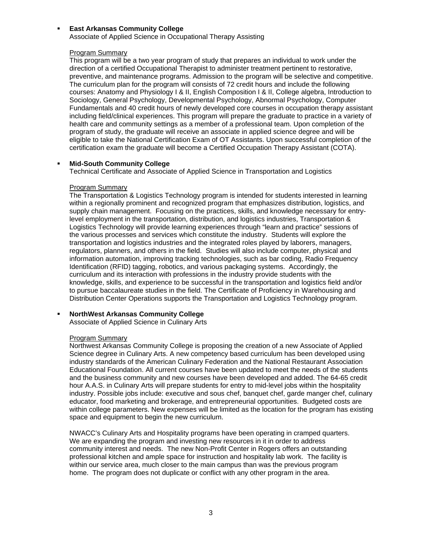### **East Arkansas Community College**

Associate of Applied Science in Occupational Therapy Assisting

### Program Summary

This program will be a two year program of study that prepares an individual to work under the direction of a certified Occupational Therapist to administer treatment pertinent to restorative, preventive, and maintenance programs. Admission to the program will be selective and competitive. The curriculum plan for the program will consists of 72 credit hours and include the following courses: Anatomy and Physiology I & II, English Composition I & II, College algebra, Introduction to Sociology, General Psychology, Developmental Psychology, Abnormal Psychology, Computer Fundamentals and 40 credit hours of newly developed core courses in occupation therapy assistant including field/clinical experiences. This program will prepare the graduate to practice in a variety of health care and community settings as a member of a professional team. Upon completion of the program of study, the graduate will receive an associate in applied science degree and will be eligible to take the National Certification Exam of OT Assistants. Upon successful completion of the certification exam the graduate will become a Certified Occupation Therapy Assistant (COTA).

## **Mid-South Community College**

Technical Certificate and Associate of Applied Science in Transportation and Logistics

## Program Summary

The Transportation & Logistics Technology program is intended for students interested in learning within a regionally prominent and recognized program that emphasizes distribution, logistics, and supply chain management. Focusing on the practices, skills, and knowledge necessary for entrylevel employment in the transportation, distribution, and logistics industries, Transportation & Logistics Technology will provide learning experiences through "learn and practice" sessions of the various processes and services which constitute the industry. Students will explore the transportation and logistics industries and the integrated roles played by laborers, managers, regulators, planners, and others in the field. Studies will also include computer, physical and information automation, improving tracking technologies, such as bar coding, Radio Frequency Identification (RFID) tagging, robotics, and various packaging systems. Accordingly, the curriculum and its interaction with professions in the industry provide students with the knowledge, skills, and experience to be successful in the transportation and logistics field and/or to pursue baccalaureate studies in the field. The Certificate of Proficiency in Warehousing and Distribution Center Operations supports the Transportation and Logistics Technology program.

## **NorthWest Arkansas Community College**

Associate of Applied Science in Culinary Arts

### Program Summary

Northwest Arkansas Community College is proposing the creation of a new Associate of Applied Science degree in Culinary Arts. A new competency based curriculum has been developed using industry standards of the American Culinary Federation and the National Restaurant Association Educational Foundation. All current courses have been updated to meet the needs of the students and the business community and new courses have been developed and added. The 64-65 credit hour A.A.S. in Culinary Arts will prepare students for entry to mid-level jobs within the hospitality industry. Possible jobs include: executive and sous chef, banquet chef, garde manger chef, culinary educator, food marketing and brokerage, and entrepreneurial opportunities. Budgeted costs are within college parameters. New expenses will be limited as the location for the program has existing space and equipment to begin the new curriculum.

NWACC's Culinary Arts and Hospitality programs have been operating in cramped quarters. We are expanding the program and investing new resources in it in order to address community interest and needs. The new Non-Profit Center in Rogers offers an outstanding professional kitchen and ample space for instruction and hospitality lab work. The facility is within our service area, much closer to the main campus than was the previous program home. The program does not duplicate or conflict with any other program in the area.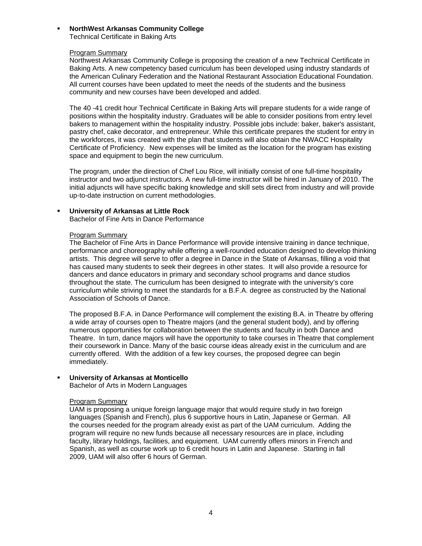# **NorthWest Arkansas Community College**

Technical Certificate in Baking Arts

### Program Summary

Northwest Arkansas Community College is proposing the creation of a new Technical Certificate in Baking Arts. A new competency based curriculum has been developed using industry standards of the American Culinary Federation and the National Restaurant Association Educational Foundation. All current courses have been updated to meet the needs of the students and the business community and new courses have been developed and added.

The 40 -41 credit hour Technical Certificate in Baking Arts will prepare students for a wide range of positions within the hospitality industry. Graduates will be able to consider positions from entry level bakers to management within the hospitality industry. Possible jobs include: baker, baker's assistant, pastry chef, cake decorator, and entrepreneur. While this certificate prepares the student for entry in the workforces, it was created with the plan that students will also obtain the NWACC Hospitality Certificate of Proficiency. New expenses will be limited as the location for the program has existing space and equipment to begin the new curriculum.

The program, under the direction of Chef Lou Rice, will initially consist of one full-time hospitality instructor and two adjunct instructors. A new full-time instructor will be hired in January of 2010. The initial adjuncts will have specific baking knowledge and skill sets direct from industry and will provide up-to-date instruction on current methodologies.

## **University of Arkansas at Little Rock**

Bachelor of Fine Arts in Dance Performance

### Program Summary

The Bachelor of Fine Arts in Dance Performance will provide intensive training in dance technique, performance and choreography while offering a well-rounded education designed to develop thinking artists. This degree will serve to offer a degree in Dance in the State of Arkansas, filling a void that has caused many students to seek their degrees in other states. It will also provide a resource for dancers and dance educators in primary and secondary school programs and dance studios throughout the state. The curriculum has been designed to integrate with the university's core curriculum while striving to meet the standards for a B.F.A. degree as constructed by the National Association of Schools of Dance.

The proposed B.F.A. in Dance Performance will complement the existing B.A. in Theatre by offering a wide array of courses open to Theatre majors (and the general student body), and by offering numerous opportunities for collaboration between the students and faculty in both Dance and Theatre. In turn, dance majors will have the opportunity to take courses in Theatre that complement their coursework in Dance. Many of the basic course ideas already exist in the curriculum and are currently offered. With the addition of a few key courses, the proposed degree can begin immediately.

### **University of Arkansas at Monticello**

Bachelor of Arts in Modern Languages

### Program Summary

UAM is proposing a unique foreign language major that would require study in two foreign languages (Spanish and French), plus 6 supportive hours in Latin, Japanese or German. All the courses needed for the program already exist as part of the UAM curriculum. Adding the program will require no new funds because all necessary resources are in place, including faculty, library holdings, facilities, and equipment. UAM currently offers minors in French and Spanish, as well as course work up to 6 credit hours in Latin and Japanese. Starting in fall 2009, UAM will also offer 6 hours of German.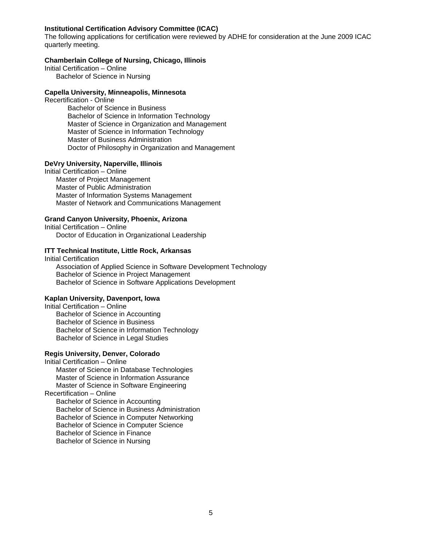### **Institutional Certification Advisory Committee (ICAC)**

The following applications for certification were reviewed by ADHE for consideration at the June 2009 ICAC quarterly meeting.

## **Chamberlain College of Nursing, Chicago, Illinois**

Initial Certification – Online Bachelor of Science in Nursing

#### **Capella University, Minneapolis, Minnesota**

Recertification - Online

 Bachelor of Science in Business Bachelor of Science in Information Technology Master of Science in Organization and Management Master of Science in Information Technology Master of Business Administration Doctor of Philosophy in Organization and Management

## **DeVry University, Naperville, Illinois**

Initial Certification – Online

 Master of Project Management Master of Public Administration Master of Information Systems Management Master of Network and Communications Management

### **Grand Canyon University, Phoenix, Arizona**

Initial Certification – Online Doctor of Education in Organizational Leadership

## **ITT Technical Institute, Little Rock, Arkansas**

Initial Certification Association of Applied Science in Software Development Technology Bachelor of Science in Project Management Bachelor of Science in Software Applications Development

#### **Kaplan University, Davenport, Iowa**

Initial Certification – Online Bachelor of Science in Accounting Bachelor of Science in Business Bachelor of Science in Information Technology Bachelor of Science in Legal Studies

## **Regis University, Denver, Colorado**

Initial Certification – Online Master of Science in Database Technologies Master of Science in Information Assurance Master of Science in Software Engineering Recertification – Online Bachelor of Science in Accounting Bachelor of Science in Business Administration Bachelor of Science in Computer Networking Bachelor of Science in Computer Science Bachelor of Science in Finance Bachelor of Science in Nursing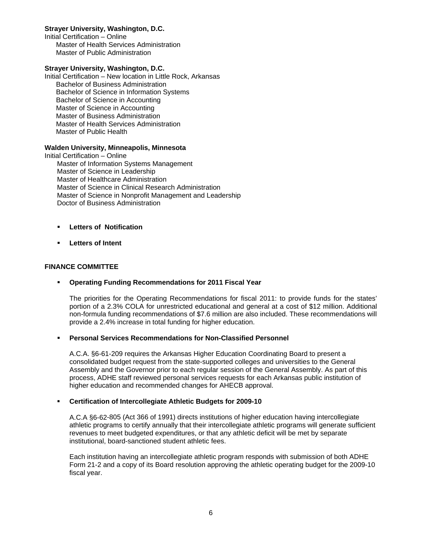## **Strayer University, Washington, D.C.**

Initial Certification – Online Master of Health Services Administration Master of Public Administration

### **Strayer University, Washington, D.C.**

Initial Certification – New location in Little Rock, Arkansas Bachelor of Business Administration Bachelor of Science in Information Systems Bachelor of Science in Accounting Master of Science in Accounting Master of Business Administration Master of Health Services Administration Master of Public Health

### **Walden University, Minneapolis, Minnesota**

Initial Certification – Online Master of Information Systems Management Master of Science in Leadership Master of Healthcare Administration Master of Science in Clinical Research Administration Master of Science in Nonprofit Management and Leadership Doctor of Business Administration

- **Letters of Notification**
- **Letters of Intent**

## **FINANCE COMMITTEE**

## **Operating Funding Recommendations for 2011 Fiscal Year**

The priorities for the Operating Recommendations for fiscal 2011: to provide funds for the states' portion of a 2.3% COLA for unrestricted educational and general at a cost of \$12 million. Additional non-formula funding recommendations of \$7.6 million are also included. These recommendations will provide a 2.4% increase in total funding for higher education.

## **Personal Services Recommendations for Non-Classified Personnel**

A.C.A. §6-61-209 requires the Arkansas Higher Education Coordinating Board to present a consolidated budget request from the state-supported colleges and universities to the General Assembly and the Governor prior to each regular session of the General Assembly. As part of this process, ADHE staff reviewed personal services requests for each Arkansas public institution of higher education and recommended changes for AHECB approval.

### **Certification of Intercollegiate Athletic Budgets for 2009-10**

A.C.A §6-62-805 (Act 366 of 1991) directs institutions of higher education having intercollegiate athletic programs to certify annually that their intercollegiate athletic programs will generate sufficient revenues to meet budgeted expenditures, or that any athletic deficit will be met by separate institutional, board-sanctioned student athletic fees.

Each institution having an intercollegiate athletic program responds with submission of both ADHE Form 21-2 and a copy of its Board resolution approving the athletic operating budget for the 2009-10 fiscal year.